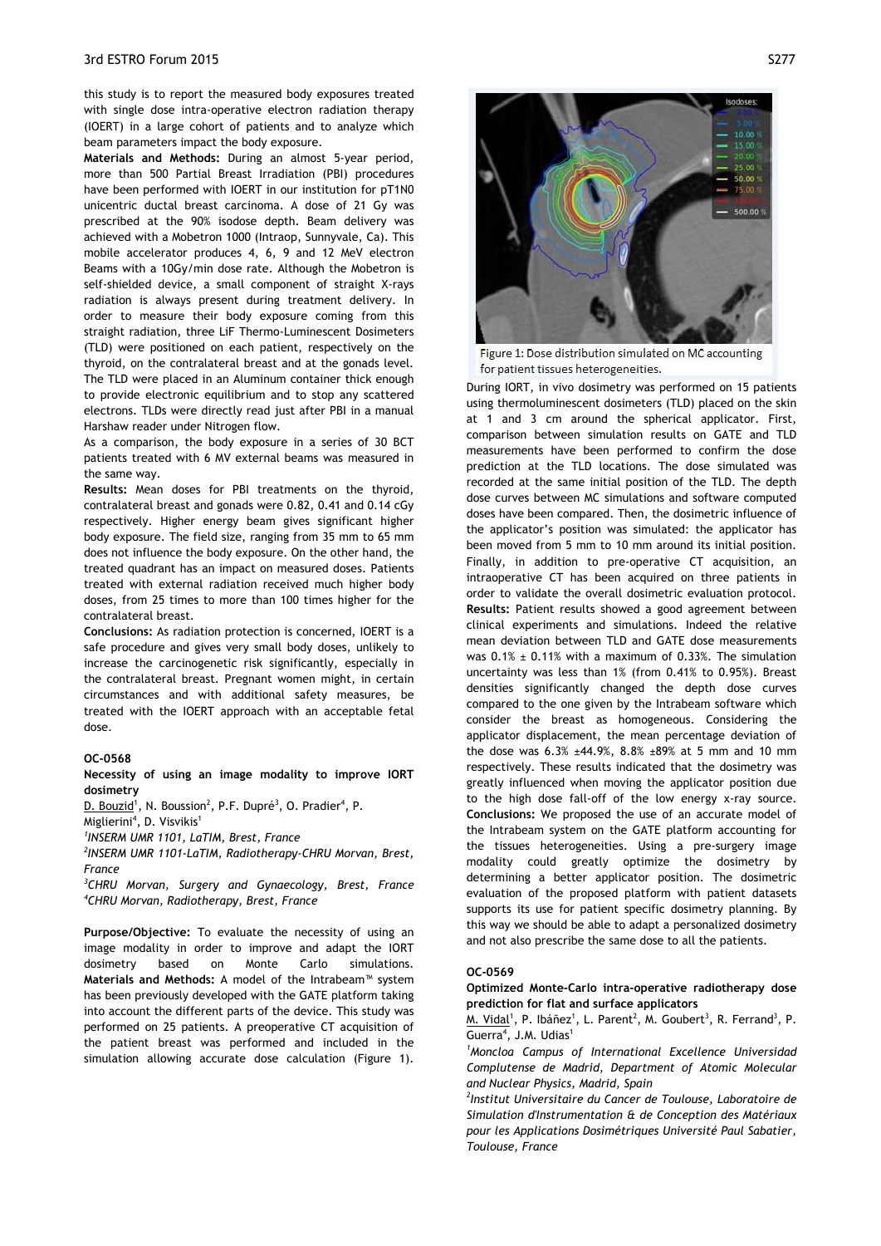this study is to report the measured body exposures treated with single dose intra-operative electron radiation therapy (IOERT) in a large cohort of patients and to analyze which beam parameters impact the body exposure.

**Materials and Methods:** During an almost 5-year period, more than 500 Partial Breast Irradiation (PBI) procedures have been performed with IOERT in our institution for pT1N0 unicentric ductal breast carcinoma. A dose of 21 Gy was prescribed at the 90% isodose depth. Beam delivery was achieved with a Mobetron 1000 (Intraop, Sunnyvale, Ca). This mobile accelerator produces 4, 6, 9 and 12 MeV electron Beams with a 10Gy/min dose rate. Although the Mobetron is self-shielded device, a small component of straight X-rays radiation is always present during treatment delivery. In order to measure their body exposure coming from this straight radiation, three LiF Thermo-Luminescent Dosimeters (TLD) were positioned on each patient, respectively on the thyroid, on the contralateral breast and at the gonads level. The TLD were placed in an Aluminum container thick enough to provide electronic equilibrium and to stop any scattered electrons. TLDs were directly read just after PBI in a manual Harshaw reader under Nitrogen flow.

As a comparison, the body exposure in a series of 30 BCT patients treated with 6 MV external beams was measured in the same way.

**Results:** Mean doses for PBI treatments on the thyroid, contralateral breast and gonads were 0.82, 0.41 and 0.14 cGy respectively. Higher energy beam gives significant higher body exposure. The field size, ranging from 35 mm to 65 mm does not influence the body exposure. On the other hand, the treated quadrant has an impact on measured doses. Patients treated with external radiation received much higher body doses, from 25 times to more than 100 times higher for the contralateral breast.

**Conclusions:** As radiation protection is concerned, IOERT is a safe procedure and gives very small body doses, unlikely to increase the carcinogenetic risk significantly, especially in the contralateral breast. Pregnant women might, in certain circumstances and with additional safety measures, be treated with the IOERT approach with an acceptable fetal dose.

## **OC-0568**

**Necessity of using an image modality to improve IORT dosimetry**

D. Bouzid<sup>1</sup>, N. Boussion<sup>2</sup>, P.F. Dupré<sup>3</sup>, O. Pradier<sup>4</sup>, P.

Miglierini<sup>4</sup>, D. Visvikis<sup>1</sup>

*1 INSERM UMR 1101, LaTIM, Brest, France* 

*2 INSERM UMR 1101-LaTIM, Radiotherapy-CHRU Morvan, Brest, France* 

*3 CHRU Morvan, Surgery and Gynaecology, Brest, France 4 CHRU Morvan, Radiotherapy, Brest, France* 

**Purpose/Objective:** To evaluate the necessity of using an image modality in order to improve and adapt the IORT dosimetry based on Monte Carlo simulations. **Materials and Methods:** A model of the Intrabeam™ system has been previously developed with the GATE platform taking into account the different parts of the device. This study was performed on 25 patients. A preoperative CT acquisition of the patient breast was performed and included in the simulation allowing accurate dose calculation (Figure 1).



Figure 1: Dose distribution simulated on MC accounting for patient tissues heterogeneities.

During IORT, in vivo dosimetry was performed on 15 patients using thermoluminescent dosimeters (TLD) placed on the skin at 1 and 3 cm around the spherical applicator. First, comparison between simulation results on GATE and TLD measurements have been performed to confirm the dose prediction at the TLD locations. The dose simulated was recorded at the same initial position of the TLD. The depth dose curves between MC simulations and software computed doses have been compared. Then, the dosimetric influence of the applicator's position was simulated: the applicator has been moved from 5 mm to 10 mm around its initial position. Finally, in addition to pre-operative CT acquisition, an intraoperative CT has been acquired on three patients in order to validate the overall dosimetric evaluation protocol. **Results:** Patient results showed a good agreement between clinical experiments and simulations. Indeed the relative mean deviation between TLD and GATE dose measurements was  $0.1\% \pm 0.11\%$  with a maximum of 0.33%. The simulation uncertainty was less than 1% (from 0.41% to 0.95%). Breast densities significantly changed the depth dose curves compared to the one given by the Intrabeam software which consider the breast as homogeneous. Considering the applicator displacement, the mean percentage deviation of the dose was 6.3% ±44.9%, 8.8% ±89% at 5 mm and 10 mm respectively. These results indicated that the dosimetry was greatly influenced when moving the applicator position due to the high dose fall-off of the low energy x-ray source. **Conclusions:** We proposed the use of an accurate model of the Intrabeam system on the GATE platform accounting for the tissues heterogeneities. Using a pre-surgery image modality could greatly optimize the dosimetry by determining a better applicator position. The dosimetric evaluation of the proposed platform with patient datasets supports its use for patient specific dosimetry planning. By this way we should be able to adapt a personalized dosimetry and not also prescribe the same dose to all the patients.

## **OC-0569**

**Optimized Monte-Carlo intra-operative radiotherapy dose prediction for flat and surface applicators**

M. Vidal<sup>1</sup>, P. Ibáñez<sup>1</sup>, L. Parent<sup>2</sup>, M. Goubert<sup>3</sup>, R. Ferrand<sup>3</sup>, P. Guerra<sup>4</sup>, J.M. Udias<sup>1</sup>

*1 Moncloa Campus of International Excellence Universidad Complutense de Madrid, Department of Atomic Molecular and Nuclear Physics, Madrid, Spain* 

*2 Institut Universitaire du Cancer de Toulouse, Laboratoire de Simulation d'Instrumentation & de Conception des Matériaux pour les Applications Dosimétriques Université Paul Sabatier, Toulouse, France*